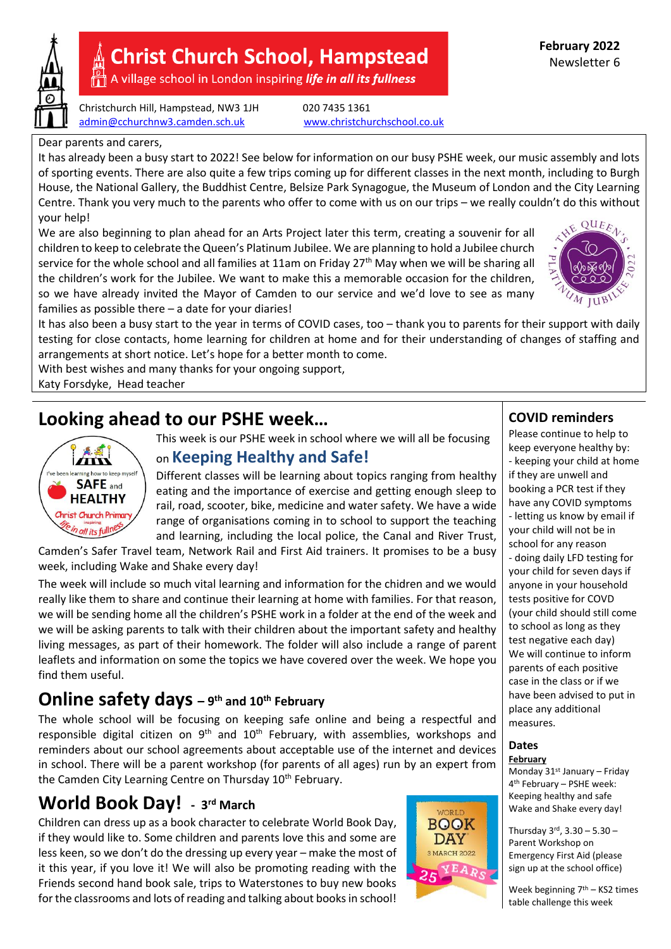

# **Christ Church School, Hampstead**

A village school in London inspiring life in all its fullness

Christchurch Hill, Hampstead, NW3 1JH 020 7435 1361 [admin@cchurchnw3.camden.sch.uk](mailto:admin@cchurchnw3.camden.sch.uk) [www.christchurchschool.co.uk](http://www.christchurchschool.co.uk/)

#### Dear parents and carers,

It has already been a busy start to 2022! See below for information on our busy PSHE week, our music assembly and lots of sporting events. There are also quite a few trips coming up for different classes in the next month, including to Burgh House, the National Gallery, the Buddhist Centre, Belsize Park Synagogue, the Museum of London and the City Learning Centre. Thank you very much to the parents who offer to come with us on our trips – we really couldn't do this without your help!

We are also beginning to plan ahead for an Arts Project later this term, creating a souvenir for all children to keep to celebrate the Queen's Platinum Jubilee. We are planning to hold a Jubilee church service for the whole school and all families at 11am on Friday 27<sup>th</sup> May when we will be sharing all the children's work for the Jubilee. We want to make this a memorable occasion for the children, so we have already invited the Mayor of Camden to our service and we'd love to see as many families as possible there – a date for your diaries!



It has also been a busy start to the year in terms of COVID cases, too – thank you to parents for their support with daily testing for close contacts, home learning for children at home and for their understanding of changes of staffing and arrangements at short notice. Let's hope for a better month to come.

With best wishes and many thanks for your ongoing support,

Katy Forsdyke, Head teacher

# **Looking ahead to our PSHE week…**

 $\boldsymbol{I}$ learning how to keep myself **SAFE** and **HEALTHY** Christ Church Primar in all its fullnes

This week is our PSHE week in school where we will all be focusing

### on **Keeping Healthy and Safe!**

Different classes will be learning about topics ranging from healthy eating and the importance of exercise and getting enough sleep to rail, road, scooter, bike, medicine and water safety. We have a wide range of organisations coming in to school to support the teaching and learning, including the local police, the Canal and River Trust,

Camden's Safer Travel team, Network Rail and First Aid trainers. It promises to be a busy week, including Wake and Shake every day!

The week will include so much vital learning and information for the chidren and we would really like them to share and continue their learning at home with families. For that reason, we will be sending home all the children's PSHE work in a folder at the end of the week and we will be asking parents to talk with their children about the important safety and healthy living messages, as part of their homework. The folder will also include a range of parent leaflets and information on some the topics we have covered over the week. We hope you find them useful.

### **Online safety days – <sup>9</sup> th and 10th February**

The whole school will be focusing on keeping safe online and being a respectful and responsible digital citizen on  $9<sup>th</sup>$  and  $10<sup>th</sup>$  February, with assemblies, workshops and reminders about our school agreements about acceptable use of the internet and devices in school. There will be a parent workshop (for parents of all ages) run by an expert from the Camden City Learning Centre on Thursday 10<sup>th</sup> February.

## $W$ orld Book Day! - 3<sup>rd</sup> March

Children can dress up as a book character to celebrate World Book Day, if they would like to. Some children and parents love this and some are less keen, so we don't do the dressing up every year – make the most of it this year, if you love it! We will also be promoting reading with the Friends second hand book sale, trips to Waterstones to buy new books for the classrooms and lots of reading and talking about books in school!



### **COVID reminders**

Please continue to help to keep everyone healthy by: - keeping your child at home if they are unwell and booking a PCR test if they have any COVID symptoms - letting us know by email if your child will not be in school for any reason - doing daily LFD testing for your child for seven days if anyone in your household tests positive for COVD (your child should still come to school as long as they test negative each day) We will continue to inform parents of each positive case in the class or if we have been advised to put in place any additional measures.

#### **Dates February**

Monday 31<sup>st</sup> January - Friday 4 th February – PSHE week: Keeping healthy and safe Wake and Shake every day!

Thursday  $3^{rd}$ ,  $3.30 - 5.30 -$ Parent Workshop on Emergency First Aid (please sign up at the school office)

Week beginning 7<sup>th</sup> – KS2 times table challenge this week